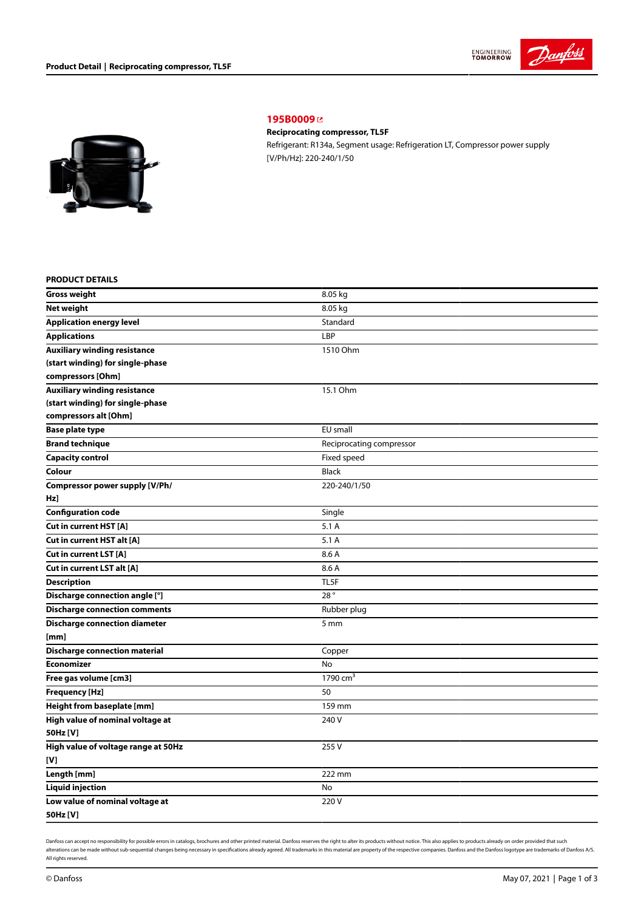



**[195B0009](https://store.danfoss.com/sg/en/Climate-Solutions-for-cooling/Compressors/Compressors-for-Refrigeration/Danfoss-Light-Commercial-Refrigeration-Compressors/Reciprocating-compressor%2C-TL5F/p/195B0009)** 

## **Reciprocating compressor, TL5F**

Refrigerant: R134a, Segment usage: Refrigeration LT, Compressor power supply [V/Ph/Hz]: 220-240/1/50

### **PRODUCT DETAILS**

| <b>Gross weight</b>                  | 8.05 kg                  |
|--------------------------------------|--------------------------|
| <b>Net weight</b>                    | 8.05 kg                  |
| <b>Application energy level</b>      | Standard                 |
| <b>Applications</b>                  | LBP                      |
| <b>Auxiliary winding resistance</b>  | 1510 Ohm                 |
| (start winding) for single-phase     |                          |
| compressors [Ohm]                    |                          |
| <b>Auxiliary winding resistance</b>  | 15.1 Ohm                 |
| (start winding) for single-phase     |                          |
| compressors alt [Ohm]                |                          |
| Base plate type                      | EU small                 |
| <b>Brand technique</b>               | Reciprocating compressor |
| <b>Capacity control</b>              | Fixed speed              |
| Colour                               | <b>Black</b>             |
| Compressor power supply [V/Ph/       | 220-240/1/50             |
| Hz]                                  |                          |
| <b>Configuration code</b>            | Single                   |
| Cut in current HST [A]               | 5.1A                     |
| Cut in current HST alt [A]           | 5.1 A                    |
| Cut in current LST [A]               | 8.6 A                    |
| Cut in current LST alt [A]           | 8.6 A                    |
| <b>Description</b>                   | TL5F                     |
| Discharge connection angle [°]       | 28°                      |
| <b>Discharge connection comments</b> | Rubber plug              |
| <b>Discharge connection diameter</b> | 5 mm                     |
| [mm]                                 |                          |
| <b>Discharge connection material</b> | Copper                   |
| <b>Economizer</b>                    | No                       |
| Free gas volume [cm3]                | 1790 $cm3$               |
| <b>Frequency [Hz]</b>                | 50                       |
| Height from baseplate [mm]           | 159 mm                   |
| High value of nominal voltage at     | 240 V                    |
| 50Hz [V]                             |                          |
| High value of voltage range at 50Hz  | 255V                     |
| [V]                                  |                          |
| Length [mm]                          | 222 mm                   |
| <b>Liquid injection</b>              | No                       |
| Low value of nominal voltage at      | 220V                     |
| 50Hz [V]                             |                          |

Danfoss can accept no responsibility for possible errors in catalogs, brochures and other printed material. Danfoss reserves the right to alter its products without notice. This also applies to products already on order pr alterations can be made without sub-sequential changes being necessary in specifications already agreed. All trademarks in this material are property of the respective companies. Danfoss and the Danfoss logotype are tradem All rights reserved.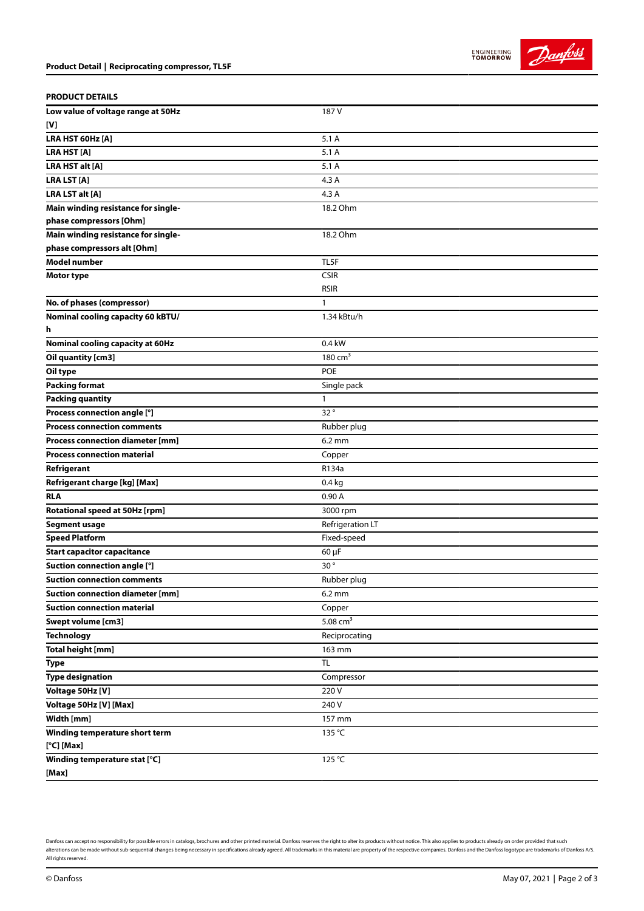**PRODUCT DETAILS**

**[V]**

**Low value of voltage range at 50Hz**

| LRA HST 60Hz [A]                        | 5.1A             |
|-----------------------------------------|------------------|
| <b>LRA HST [A]</b>                      | 5.1A             |
| LRA HST alt [A]                         | 5.1 A            |
| <b>LRA LST [A]</b>                      | 4.3 A            |
| LRA LST alt [A]                         | 4.3 A            |
| Main winding resistance for single-     | 18.2 Ohm         |
| phase compressors [Ohm]                 |                  |
| Main winding resistance for single-     | 18.2 Ohm         |
| phase compressors alt [Ohm]             |                  |
| <b>Model number</b>                     | TL5F             |
| <b>Motor type</b>                       | <b>CSIR</b>      |
|                                         | <b>RSIR</b>      |
| No. of phases (compressor)              | 1                |
| Nominal cooling capacity 60 kBTU/       | 1.34 kBtu/h      |
| h                                       |                  |
| <b>Nominal cooling capacity at 60Hz</b> | 0.4 kW           |
| Oil quantity [cm3]                      | 180 $cm3$        |
| Oil type                                | POE              |
| <b>Packing format</b>                   | Single pack      |
| <b>Packing quantity</b>                 | 1                |
| Process connection angle [°]            | 32°              |
| <b>Process connection comments</b>      | Rubber plug      |
| <b>Process connection diameter [mm]</b> | $6.2 \text{ mm}$ |
| <b>Process connection material</b>      | Copper           |
| Refrigerant                             | R134a            |
| Refrigerant charge [kg] [Max]           | $0.4$ kg         |
| <b>RLA</b>                              | 0.90A            |
| Rotational speed at 50Hz [rpm]          | 3000 rpm         |
| <b>Segment usage</b>                    | Refrigeration LT |
| <b>Speed Platform</b>                   | Fixed-speed      |
| <b>Start capacitor capacitance</b>      | 60 µF            |
| Suction connection angle [°]            | 30°              |
| <b>Suction connection comments</b>      | Rubber plug      |
| <b>Suction connection diameter [mm]</b> | $6.2 \text{ mm}$ |
| <b>Suction connection material</b>      | Copper           |
| <b>Swept volume [cm3]</b>               | 5.08 $cm3$       |
| <b>Technology</b>                       | Reciprocating    |
| Total height [mm]                       | 163 mm           |
| <b>Type</b>                             | <b>TL</b>        |
| <b>Type designation</b>                 | Compressor       |
| Voltage 50Hz [V]                        | 220 V            |
| Voltage 50Hz [V] [Max]                  | 240 V            |
| Width [mm]                              | 157 mm           |

187 V

**[°C] [Max]**

**Winding temperature short term**

Danfoss can accept no responsibility for possible errors in catalogs, brochures and other printed material. Danfoss reserves the right to alter its products without notice. This also applies to products already on order pr alterations can be made without sub-sequential changes being necessary in specifications already agreed. All trademarks in this material are property of the respective companies. Danfoss and the Danfoss logotype are tradem All rights reserved.

 $135 °C$ 

125 °C